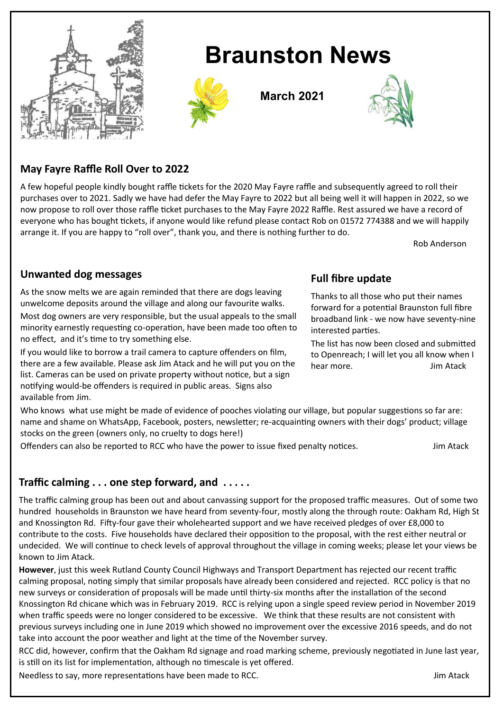

# **Braunston News**



**March 2021**



## **May Fayre Raffle Roll Over to 2022**

A few hopeful people kindly bought raffle tickets for the 2020 May Fayre raffle and subsequently agreed to roll their purchases over to 2021. Sadly we have had defer the May Fayre to 2022 but all being well it will happen in 2022, so we now propose to roll over those raffle ticket purchases to the May Fayre 2022 Raffle. Rest assured we have a record of everyone who has bought tickets, if anyone would like refund please contact Rob on 01572 774388 and we will happily arrange it. If you are happy to "roll over", thank you, and there is nothing further to do.

Rob Anderson

#### **Unwanted dog messages**

As the snow melts we are again reminded that there are dogs leaving unwelcome deposits around the village and along our favourite walks. Most dog owners are very responsible, but the usual appeals to the small minority earnestly requesting co-operation, have been made too often to

no effect, and it's time to try something else. If you would like to borrow a trail camera to capture offenders on film, there are a few available. Please ask Jim Atack and he will put you on the

list. Cameras can be used on private property without notice, but a sign notifying would-be offenders is required in public areas. Signs also available from Jim.

#### **Full fibre update**

Thanks to all those who put their names forward for a potential Braunston full fibre broadband link - we now have seventy-nine interested parties.

The list has now been closed and submitted to Openreach; I will let you all know when I hear more. **Jim Atack** 

Who knows what use might be made of evidence of pooches violating our village, but popular suggestions so far are: name and shame on WhatsApp, Facebook, posters, newsletter; re-acquainting owners with their dogs' product; village stocks on the green (owners only, no cruelty to dogs here!)

Offenders can also be reported to RCC who have the power to issue fixed penalty notices. Jim Atack

### **Traffic calming . . . one step forward, and . . . . .**

The traffic calming group has been out and about canvassing support for the proposed traffic measures. Out of some two hundred households in Braunston we have heard from seventy-four, mostly along the through route: Oakham Rd, High St and Knossington Rd. Fifty-four gave their wholehearted support and we have received pledges of over £8,000 to contribute to the costs. Five households have declared their opposition to the proposal, with the rest either neutral or undecided. We will continue to check levels of approval throughout the village in coming weeks; please let your views be known to Jim Atack.

**However**, just this week Rutland County Council Highways and Transport Department has rejected our recent traffic calming proposal, noting simply that similar proposals have already been considered and rejected. RCC policy is that no new surveys or consideration of proposals will be made until thirty-six months after the installation of the second Knossington Rd chicane which was in February 2019. RCC is relying upon a single speed review period in November 2019 when traffic speeds were no longer considered to be excessive. We think that these results are not consistent with previous surveys including one in June 2019 which showed no improvement over the excessive 2016 speeds, and do not take into account the poor weather and light at the time of the November survey.

RCC did, however, confirm that the Oakham Rd signage and road marking scheme, previously negotiated in June last year, is still on its list for implementation, although no timescale is yet offered.

Needless to say, more representations have been made to RCC. The state of the state of the state of the state of the state of the state of the state of the state of the state of the state of the state of the state of the s